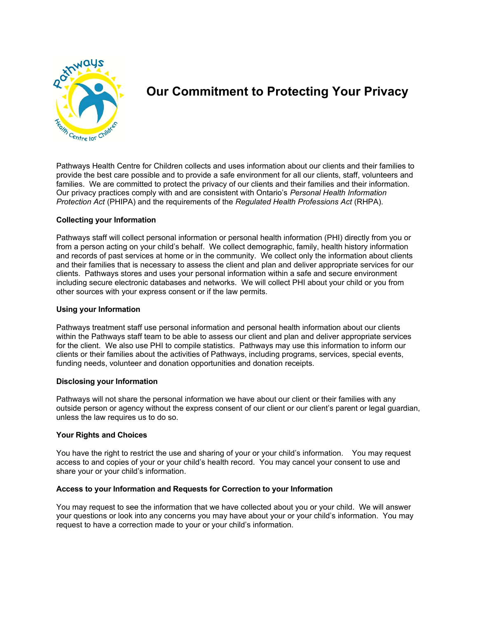

# **Our Commitment to Protecting Your Privacy**

Pathways Health Centre for Children collects and uses information about our clients and their families to provide the best care possible and to provide a safe environment for all our clients, staff, volunteers and families. We are committed to protect the privacy of our clients and their families and their information. Our privacy practices comply with and are consistent with Ontario's *Personal Health Information Protection Act* (PHIPA) and the requirements of the *Regulated Health Professions Act* (RHPA).

# **Collecting your Information**

Pathways staff will collect personal information or personal health information (PHI) directly from you or from a person acting on your child's behalf. We collect demographic, family, health history information and records of past services at home or in the community. We collect only the information about clients and their families that is necessary to assess the client and plan and deliver appropriate services for our clients. Pathways stores and uses your personal information within a safe and secure environment including secure electronic databases and networks. We will collect PHI about your child or you from other sources with your express consent or if the law permits.

#### **Using your Information**

Pathways treatment staff use personal information and personal health information about our clients within the Pathways staff team to be able to assess our client and plan and deliver appropriate services for the client. We also use PHI to compile statistics. Pathways may use this information to inform our clients or their families about the activities of Pathways, including programs, services, special events, funding needs, volunteer and donation opportunities and donation receipts.

#### **Disclosing your Information**

Pathways will not share the personal information we have about our client or their families with any outside person or agency without the express consent of our client or our client's parent or legal guardian, unless the law requires us to do so.

#### **Your Rights and Choices**

You have the right to restrict the use and sharing of your or your child's information. You may request access to and copies of your or your child's health record. You may cancel your consent to use and share your or your child's information.

# **Access to your Information and Requests for Correction to your Information**

You may request to see the information that we have collected about you or your child. We will answer your questions or look into any concerns you may have about your or your child's information. You may request to have a correction made to your or your child's information.